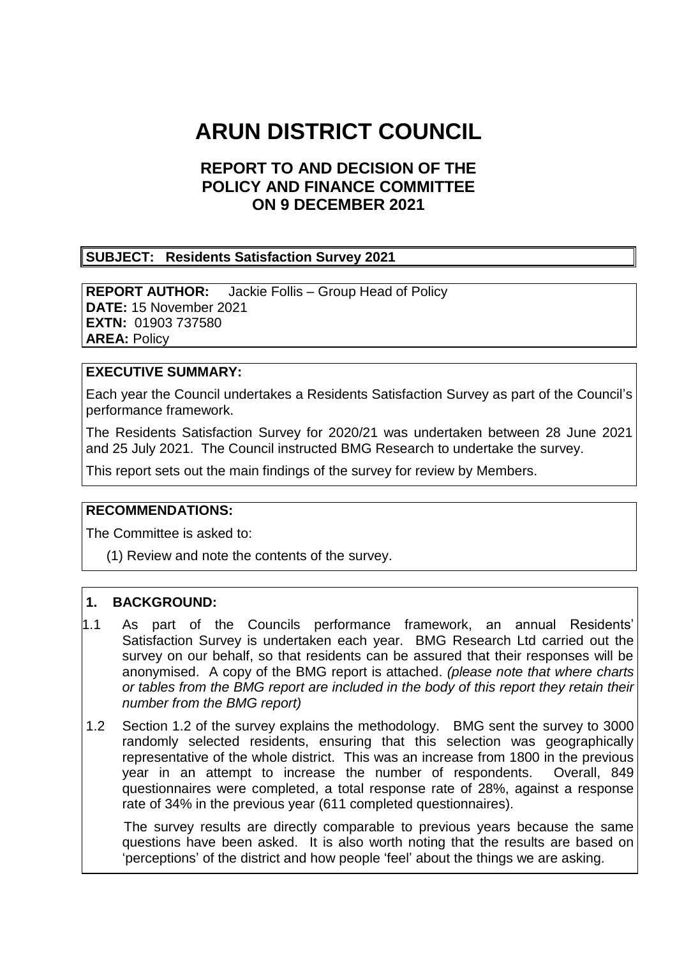# **ARUN DISTRICT COUNCIL**

# **REPORT TO AND DECISION OF THE POLICY AND FINANCE COMMITTEE ON 9 DECEMBER 2021**

#### **SUBJECT: Residents Satisfaction Survey 2021**

**REPORT AUTHOR:** Jackie Follis – Group Head of Policy **DATE:** 15 November 2021 **EXTN:** 01903 737580 **AREA:** Policy

#### **EXECUTIVE SUMMARY:**

Each year the Council undertakes a Residents Satisfaction Survey as part of the Council's performance framework.

The Residents Satisfaction Survey for 2020/21 was undertaken between 28 June 2021 and 25 July 2021. The Council instructed BMG Research to undertake the survey.

This report sets out the main findings of the survey for review by Members.

#### **RECOMMENDATIONS:**

The Committee is asked to:

(1) Review and note the contents of the survey.

#### **1. BACKGROUND:**

- 1.1 As part of the Councils performance framework, an annual Residents' Satisfaction Survey is undertaken each year. BMG Research Ltd carried out the survey on our behalf, so that residents can be assured that their responses will be anonymised. A copy of the BMG report is attached. *(please note that where charts or tables from the BMG report are included in the body of this report they retain their number from the BMG report)*
- 1.2 Section 1.2 of the survey explains the methodology. BMG sent the survey to 3000 randomly selected residents, ensuring that this selection was geographically representative of the whole district. This was an increase from 1800 in the previous year in an attempt to increase the number of respondents. Overall, 849 questionnaires were completed, a total response rate of 28%, against a response rate of 34% in the previous year (611 completed questionnaires).

 The survey results are directly comparable to previous years because the same questions have been asked. It is also worth noting that the results are based on 'perceptions' of the district and how people 'feel' about the things we are asking.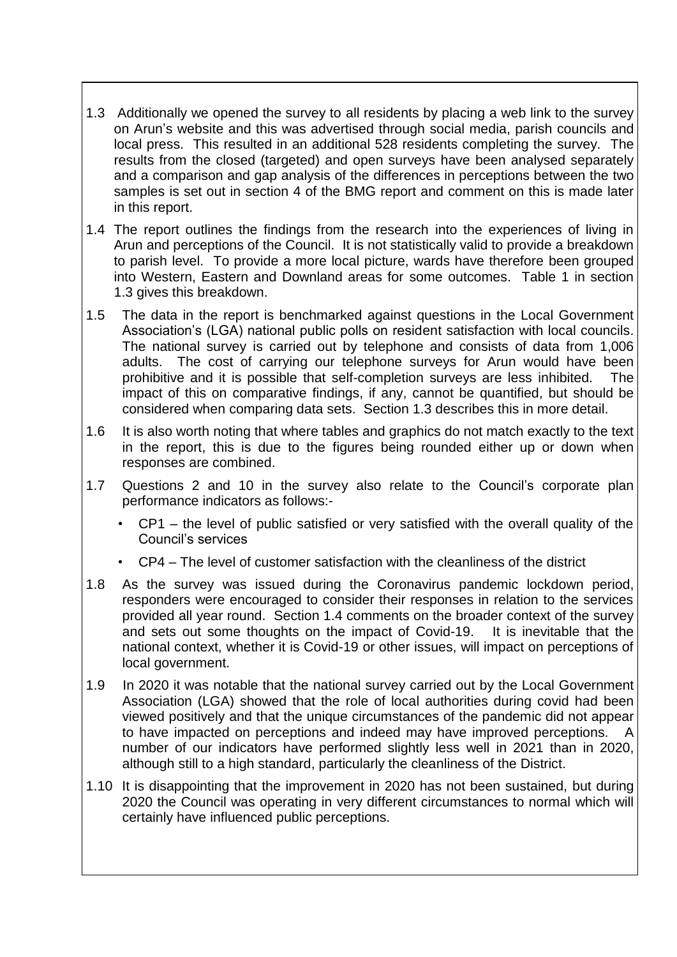- 1.3 Additionally we opened the survey to all residents by placing a web link to the survey on Arun's website and this was advertised through social media, parish councils and local press. This resulted in an additional 528 residents completing the survey. The results from the closed (targeted) and open surveys have been analysed separately and a comparison and gap analysis of the differences in perceptions between the two samples is set out in section 4 of the BMG report and comment on this is made later in this report.
- 1.4 The report outlines the findings from the research into the experiences of living in Arun and perceptions of the Council. It is not statistically valid to provide a breakdown to parish level. To provide a more local picture, wards have therefore been grouped into Western, Eastern and Downland areas for some outcomes. Table 1 in section 1.3 gives this breakdown.
- 1.5 The data in the report is benchmarked against questions in the Local Government Association's (LGA) national public polls on resident satisfaction with local councils. The national survey is carried out by telephone and consists of data from 1,006 adults. The cost of carrying our telephone surveys for Arun would have been prohibitive and it is possible that self-completion surveys are less inhibited. The impact of this on comparative findings, if any, cannot be quantified, but should be considered when comparing data sets. Section 1.3 describes this in more detail.
- 1.6 It is also worth noting that where tables and graphics do not match exactly to the text in the report, this is due to the figures being rounded either up or down when responses are combined.
- 1.7 Questions 2 and 10 in the survey also relate to the Council's corporate plan performance indicators as follows:-
	- CP1 the level of public satisfied or very satisfied with the overall quality of the Council's services
	- CP4 The level of customer satisfaction with the cleanliness of the district
- 1.8 As the survey was issued during the Coronavirus pandemic lockdown period, responders were encouraged to consider their responses in relation to the services provided all year round. Section 1.4 comments on the broader context of the survey and sets out some thoughts on the impact of Covid-19. It is inevitable that the national context, whether it is Covid-19 or other issues, will impact on perceptions of local government.
- 1.9 In 2020 it was notable that the national survey carried out by the Local Government Association (LGA) showed that the role of local authorities during covid had been viewed positively and that the unique circumstances of the pandemic did not appear to have impacted on perceptions and indeed may have improved perceptions. number of our indicators have performed slightly less well in 2021 than in 2020, although still to a high standard, particularly the cleanliness of the District.
- 1.10 It is disappointing that the improvement in 2020 has not been sustained, but during 2020 the Council was operating in very different circumstances to normal which will certainly have influenced public perceptions.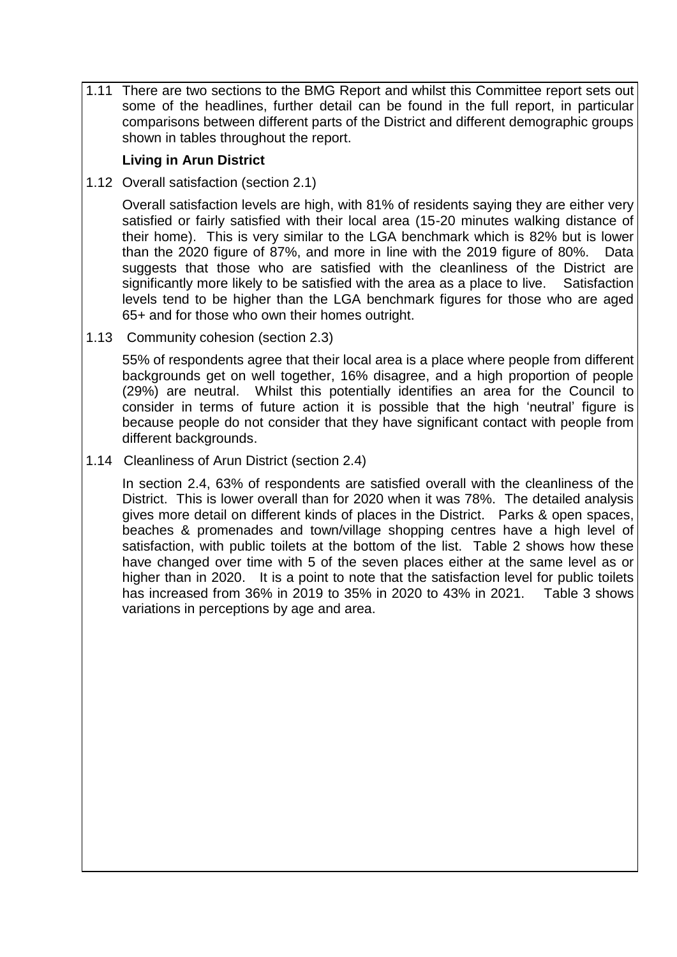1.11 There are two sections to the BMG Report and whilst this Committee report sets out some of the headlines, further detail can be found in the full report, in particular comparisons between different parts of the District and different demographic groups shown in tables throughout the report.

## **Living in Arun District**

1.12 Overall satisfaction (section 2.1)

Overall satisfaction levels are high, with 81% of residents saying they are either very satisfied or fairly satisfied with their local area (15-20 minutes walking distance of their home). This is very similar to the LGA benchmark which is 82% but is lower than the 2020 figure of 87%, and more in line with the 2019 figure of 80%. Data suggests that those who are satisfied with the cleanliness of the District are significantly more likely to be satisfied with the area as a place to live. Satisfaction levels tend to be higher than the LGA benchmark figures for those who are aged 65+ and for those who own their homes outright.

1.13 Community cohesion (section 2.3)

55% of respondents agree that their local area is a place where people from different backgrounds get on well together, 16% disagree, and a high proportion of people (29%) are neutral. Whilst this potentially identifies an area for the Council to consider in terms of future action it is possible that the high 'neutral' figure is because people do not consider that they have significant contact with people from different backgrounds.

1.14 Cleanliness of Arun District (section 2.4)

In section 2.4, 63% of respondents are satisfied overall with the cleanliness of the District. This is lower overall than for 2020 when it was 78%. The detailed analysis gives more detail on different kinds of places in the District. Parks & open spaces, beaches & promenades and town/village shopping centres have a high level of satisfaction, with public toilets at the bottom of the list. Table 2 shows how these have changed over time with 5 of the seven places either at the same level as or higher than in 2020. It is a point to note that the satisfaction level for public toilets has increased from 36% in 2019 to 35% in 2020 to 43% in 2021. Table 3 shows variations in perceptions by age and area.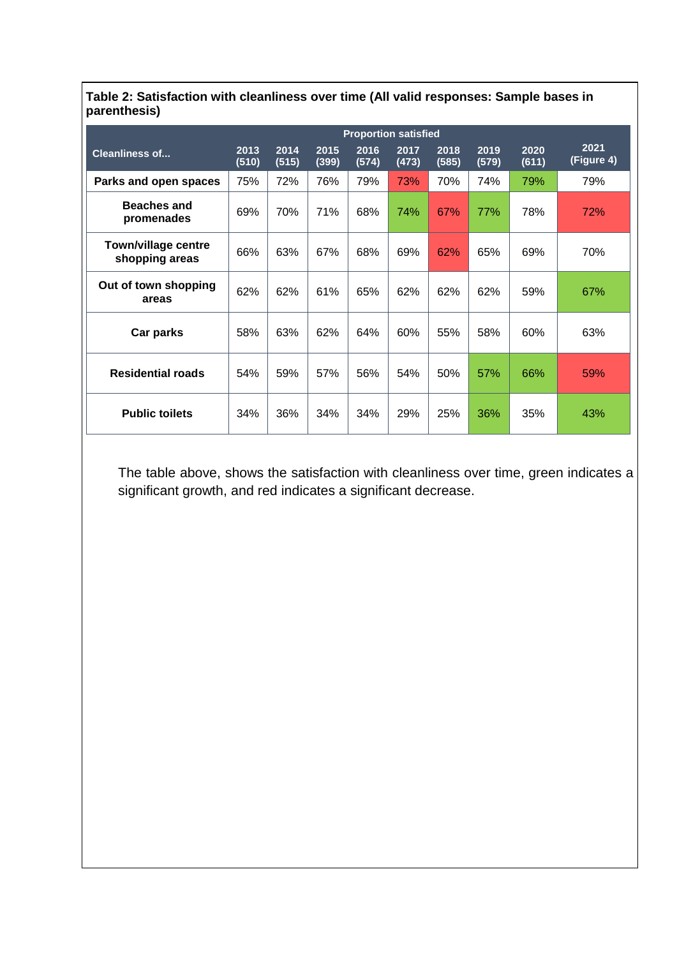|                                              | <b>Proportion satisfied</b> |               |               |               |               |               |               |               |                    |
|----------------------------------------------|-----------------------------|---------------|---------------|---------------|---------------|---------------|---------------|---------------|--------------------|
| <b>Cleanliness of</b>                        | 2013<br>(510)               | 2014<br>(515) | 2015<br>(399) | 2016<br>(574) | 2017<br>(473) | 2018<br>(585) | 2019<br>(579) | 2020<br>(611) | 2021<br>(Figure 4) |
| Parks and open spaces                        | 75%                         | 72%           | 76%           | 79%           | 73%           | 70%           | 74%           | 79%           | 79%                |
| <b>Beaches and</b><br>promenades             | 69%                         | 70%           | 71%           | 68%           | 74%           | 67%           | 77%           | 78%           | 72%                |
| <b>Town/village centre</b><br>shopping areas | 66%                         | 63%           | 67%           | 68%           | 69%           | 62%           | 65%           | 69%           | 70%                |
| Out of town shopping<br>areas                | 62%                         | 62%           | 61%           | 65%           | 62%           | 62%           | 62%           | 59%           | 67%                |
| Car parks                                    | 58%                         | 63%           | 62%           | 64%           | 60%           | 55%           | 58%           | 60%           | 63%                |
| <b>Residential roads</b>                     | 54%                         | 59%           | 57%           | 56%           | 54%           | 50%           | 57%           | 66%           | 59%                |
| <b>Public toilets</b>                        | 34%                         | 36%           | 34%           | 34%           | 29%           | 25%           | 36%           | 35%           | 43%                |

**Table 2: Satisfaction with cleanliness over time (All valid responses: Sample bases in parenthesis)**

The table above, shows the satisfaction with cleanliness over time, green indicates a significant growth, and red indicates a significant decrease.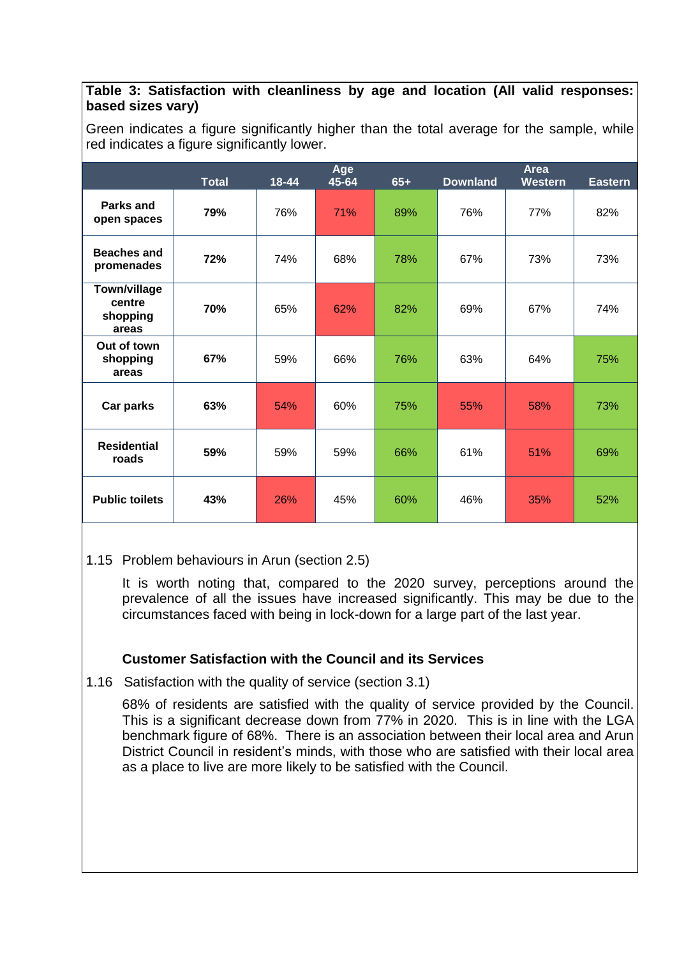#### **Table 3: Satisfaction with cleanliness by age and location (All valid responses: based sizes vary)**

Green indicates a figure significantly higher than the total average for the sample, while red indicates a figure significantly lower.

|                                             | <b>Total</b> | 18-44 | Age<br>45-64 | $65+$ | <b>Downland</b> | <b>Area</b><br><b>Western</b> | <b>Eastern</b> |
|---------------------------------------------|--------------|-------|--------------|-------|-----------------|-------------------------------|----------------|
| Parks and<br>open spaces                    | 79%          | 76%   | 71%          | 89%   | 76%             | 77%                           | 82%            |
| <b>Beaches and</b><br>promenades            | 72%          | 74%   | 68%          | 78%   | 67%             | 73%                           | 73%            |
| Town/village<br>centre<br>shopping<br>areas | 70%          | 65%   | 62%          | 82%   | 69%             | 67%                           | 74%            |
| Out of town<br>shopping<br>areas            | 67%          | 59%   | 66%          | 76%   | 63%             | 64%                           | 75%            |
| Car parks                                   | 63%          | 54%   | 60%          | 75%   | 55%             | 58%                           | 73%            |
| <b>Residential</b><br>roads                 | 59%          | 59%   | 59%          | 66%   | 61%             | 51%                           | 69%            |
| <b>Public toilets</b>                       | 43%          | 26%   | 45%          | 60%   | 46%             | 35%                           | 52%            |

## 1.15 Problem behaviours in Arun (section 2.5)

It is worth noting that, compared to the 2020 survey, perceptions around the prevalence of all the issues have increased significantly. This may be due to the circumstances faced with being in lock-down for a large part of the last year.

## **Customer Satisfaction with the Council and its Services**

1.16 Satisfaction with the quality of service (section 3.1)

68% of residents are satisfied with the quality of service provided by the Council. This is a significant decrease down from 77% in 2020. This is in line with the LGA benchmark figure of 68%. There is an association between their local area and Arun District Council in resident's minds, with those who are satisfied with their local area as a place to live are more likely to be satisfied with the Council.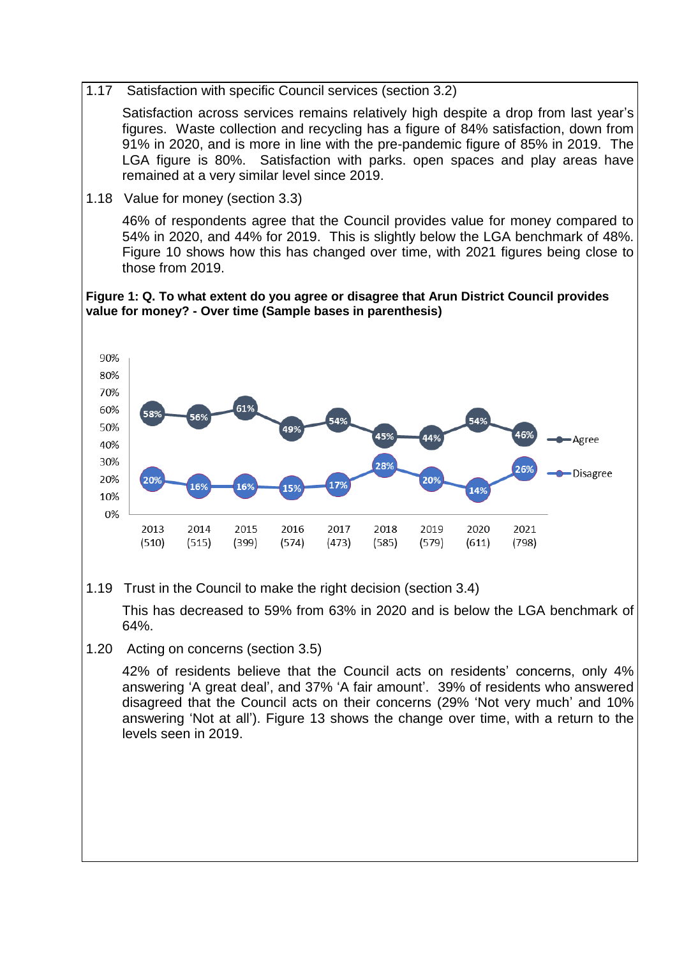1.17 Satisfaction with specific Council services (section 3.2)

Satisfaction across services remains relatively high despite a drop from last year's figures. Waste collection and recycling has a figure of 84% satisfaction, down from 91% in 2020, and is more in line with the pre-pandemic figure of 85% in 2019. The LGA figure is 80%. Satisfaction with parks. open spaces and play areas have remained at a very similar level since 2019.

1.18 Value for money (section 3.3)

46% of respondents agree that the Council provides value for money compared to 54% in 2020, and 44% for 2019. This is slightly below the LGA benchmark of 48%. Figure 10 shows how this has changed over time, with 2021 figures being close to those from 2019.

#### **Figure 1: Q. To what extent do you agree or disagree that Arun District Council provides value for money? - Over time (Sample bases in parenthesis)**



1.19 Trust in the Council to make the right decision (section 3.4)

This has decreased to 59% from 63% in 2020 and is below the LGA benchmark of 64%.

1.20 Acting on concerns (section 3.5)

42% of residents believe that the Council acts on residents' concerns, only 4% answering 'A great deal', and 37% 'A fair amount'. 39% of residents who answered disagreed that the Council acts on their concerns (29% 'Not very much' and 10% answering 'Not at all'). Figure 13 shows the change over time, with a return to the levels seen in 2019.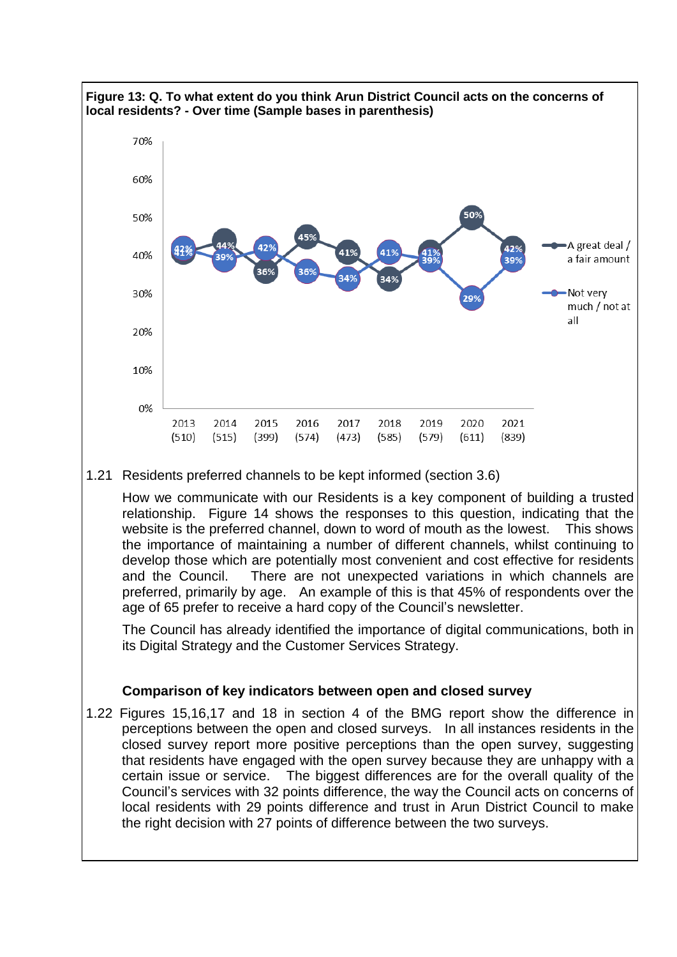

1.22 Figures 15,16,17 and 18 in section 4 of the BMG report show the difference in perceptions between the open and closed surveys. In all instances residents in the closed survey report more positive perceptions than the open survey, suggesting that residents have engaged with the open survey because they are unhappy with a certain issue or service. The biggest differences are for the overall quality of the Council's services with 32 points difference, the way the Council acts on concerns of local residents with 29 points difference and trust in Arun District Council to make the right decision with 27 points of difference between the two surveys.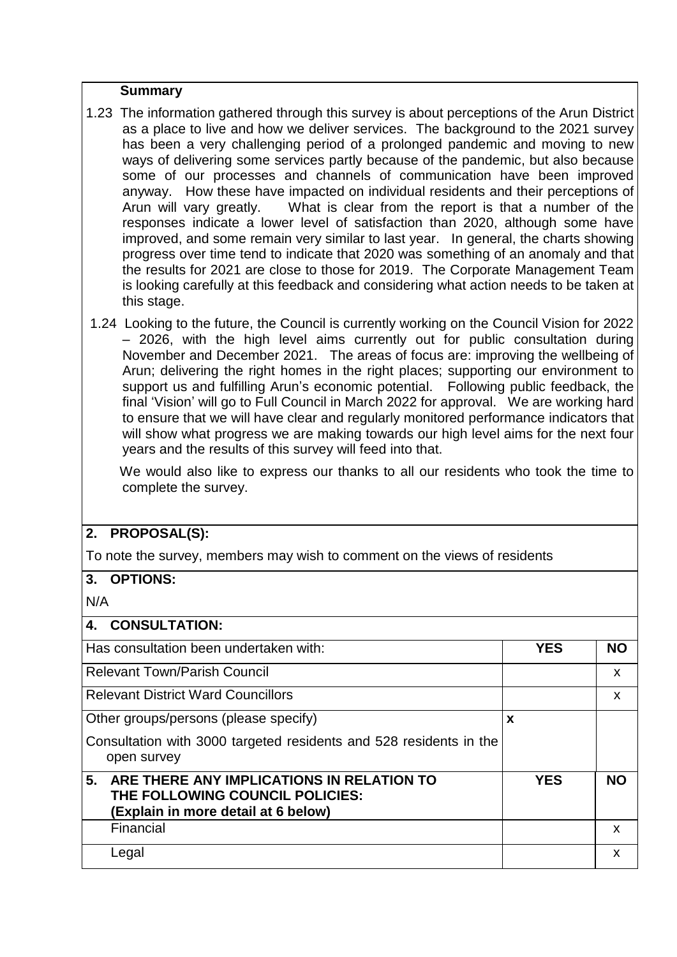#### **Summary**

- 1.23 The information gathered through this survey is about perceptions of the Arun District as a place to live and how we deliver services. The background to the 2021 survey has been a very challenging period of a prolonged pandemic and moving to new ways of delivering some services partly because of the pandemic, but also because some of our processes and channels of communication have been improved anyway. How these have impacted on individual residents and their perceptions of Arun will vary greatly. What is clear from the report is that a number of the responses indicate a lower level of satisfaction than 2020, although some have improved, and some remain very similar to last year. In general, the charts showing progress over time tend to indicate that 2020 was something of an anomaly and that the results for 2021 are close to those for 2019. The Corporate Management Team is looking carefully at this feedback and considering what action needs to be taken at this stage.
- 1.24 Looking to the future, the Council is currently working on the Council Vision for 2022 – 2026, with the high level aims currently out for public consultation during November and December 2021. The areas of focus are: improving the wellbeing of Arun; delivering the right homes in the right places; supporting our environment to support us and fulfilling Arun's economic potential. Following public feedback, the final 'Vision' will go to Full Council in March 2022 for approval. We are working hard to ensure that we will have clear and regularly monitored performance indicators that will show what progress we are making towards our high level aims for the next four years and the results of this survey will feed into that.

 We would also like to express our thanks to all our residents who took the time to complete the survey.

## **2. PROPOSAL(S):**

To note the survey, members may wish to comment on the views of residents

#### **3. OPTIONS:**

N/A

| 4. CONSULTATION:                                                                                                          |            |           |
|---------------------------------------------------------------------------------------------------------------------------|------------|-----------|
| Has consultation been undertaken with:                                                                                    | <b>YES</b> | <b>NO</b> |
| <b>Relevant Town/Parish Council</b>                                                                                       |            | X         |
| <b>Relevant District Ward Councillors</b>                                                                                 |            | X         |
| Other groups/persons (please specify)                                                                                     | X          |           |
| Consultation with 3000 targeted residents and 528 residents in the<br>open survey                                         |            |           |
| 5.<br>ARE THERE ANY IMPLICATIONS IN RELATION TO<br>THE FOLLOWING COUNCIL POLICIES:<br>(Explain in more detail at 6 below) | <b>YES</b> | <b>NO</b> |
| Financial                                                                                                                 |            | X         |
| Legal                                                                                                                     |            | X         |